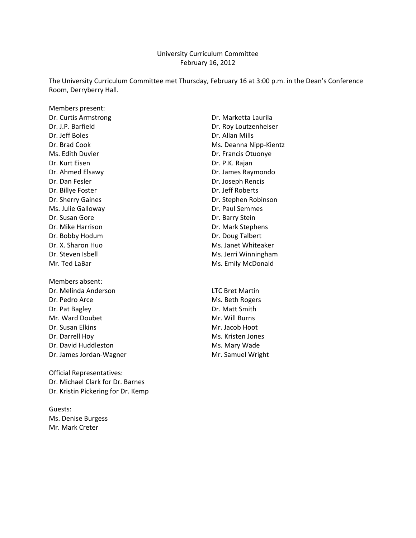#### University Curriculum Committee February 16, 2012

The University Curriculum Committee met Thursday, February 16 at 3:00 p.m. in the Dean's Conference Room, Derryberry Hall.

Members present: Dr. Jeff Boles **Dr. Allan Mills** Ms. Edith Duvier **Dr. Francis Otuonye** Dr. Kurt Eisen Dr. P.K. Rajan Dr. Dan Fesler **Dr. Joseph Rencis** Dr. Billye Foster **Dr. Jeff Roberts** Ms. Julie Galloway **Dr. Paul Semmes** Dr. Susan Gore Dr. Barry Stein Dr. Mike Harrison **Dr. Mark Stephens** Dr. Bobby Hodum Dr. Doug Talbert Mr. Ted LaBar Mr. Ted LaBar Mr. Emily McDonald

Members absent: Dr. Melinda Anderson LTC Bret Martin Dr. Pedro Arce Ms. Beth Rogers Dr. Pat Bagley **Dr. Matt Smith** Mr. Ward Doubet Mr. Will Burns Dr. Susan Elkins Mr. Jacob Hoot Dr. Darrell Hoy Ms. Kristen Jones Dr. David Huddleston Ms. Mary Wade Dr. James Jordan-Wagner Mr. Samuel Wright

Official Representatives: Dr. Michael Clark for Dr. Barnes Dr. Kristin Pickering for Dr. Kemp

Guests: Ms. Denise Burgess Mr. Mark Creter

Dr. Curtis Armstrong **Dr. Marketta Laurila** Dr. J.P. Barfield Dr. Roy Loutzenheiser Dr. Brad Cook Ms. Deanna Nipp-Kientz Dr. Ahmed Elsawy **Dr. James Raymondo** Dr. Sherry Gaines **Dr. Stephen Robinson** Dr. X. Sharon Huo Ms. Janet Whiteaker Dr. Steven Isbell Ms. Jerri Winningham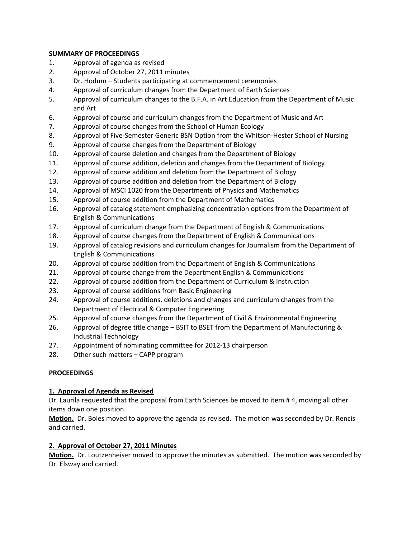#### **SUMMARY OF PROCEEDINGS**

- 1. Approval of agenda as revised
- 2. Approval of October 27, 2011 minutes
- 3. Dr. Hodum Students participating at commencement ceremonies
- 4. Approval of curriculum changes from the Department of Earth Sciences
- 5. Approval of curriculum changes to the B.F.A. in Art Education from the Department of Music and Art
- 6. Approval of course and curriculum changes from the Department of Music and Art
- 7. Approval of course changes from the School of Human Ecology
- 8. Approval of Five-Semester Generic BSN Option from the Whitson-Hester School of Nursing
- 9. Approval of course changes from the Department of Biology
- 10. Approval of course deletion and changes from the Department of Biology
- 11. Approval of course addition, deletion and changes from the Department of Biology
- 12. Approval of course addition and deletion from the Department of Biology
- 13. Approval of course addition and deletion from the Department of Biology
- 14. Approval of MSCI 1020 from the Departments of Physics and Mathematics
- 15. Approval of course addition from the Department of Mathematics
- 16. Approval of catalog statement emphasizing concentration options from the Department of English & Communications
- 17. Approval of curriculum change from the Department of English & Communications
- 18. Approval of course changes from the Department of English & Communications
- 19. Approval of catalog revisions and curriculum changes for Journalism from the Department of English & Communications
- 20. Approval of course addition from the Department of English & Communications
- 21. Approval of course change from the Department English & Communications
- 22. Approval of course addition from the Department of Curriculum & Instruction
- 23. Approval of course additions from Basic Engineering
- 24. Approval of course additions, deletions and changes and curriculum changes from the Department of Electrical & Computer Engineering
- 25. Approval of course changes from the Department of Civil & Environmental Engineering
- 26. Approval of degree title change BSIT to BSET from the Department of Manufacturing & Industrial Technology
- 27. Appointment of nominating committee for 2012‐13 chairperson
- 28. Other such matters CAPP program

#### **PROCEEDINGS**

#### **1. Approval of Agenda as Revised**

Dr. Laurila requested that the proposal from Earth Sciences be moved to item # 4, moving all other items down one position.

**Motion.** Dr. Boles moved to approve the agenda as revised. The motion was seconded by Dr. Rencis and carried.

#### **2. Approval of October 27, 2011 Minutes**

**Motion.** Dr. Loutzenheiser moved to approve the minutes as submitted. The motion was seconded by Dr. Elsway and carried.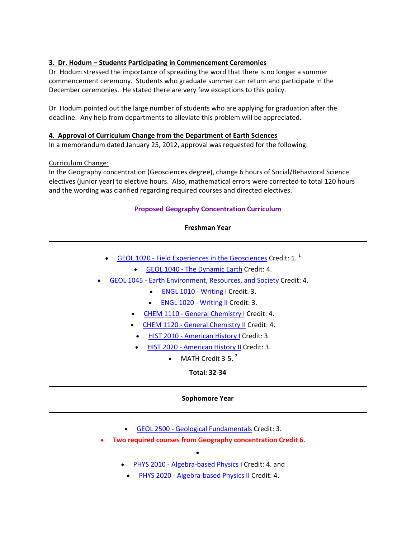#### **3. Dr. Hodum – Students Participating in Commencement Ceremonies**

Dr. Hodum stressed the importance of spreading the word that there is no longer a summer commencement ceremony. Students who graduate summer can return and participate in the December ceremonies. He stated there are very few exceptions to this policy.

Dr. Hodum pointed out the large number of students who are applying for graduation after the deadline. Any help from departments to alleviate this problem will be appreciated.

#### **4. Approval of Curriculum Change from the Department of Earth Sciences**

In a memorandum dated January 25, 2012, approval was requested for the following:

#### Curriculum Change:

In the Geography concentration (Geosciences degree), change 6 hours of Social/Behavioral Science electives (junior year) to elective hours. Also, mathematical errors were corrected to total 120 hours and the wording was clarified regarding required courses and directed electives.

#### **Proposed Geography Concentration Curriculum**

#### **Freshman Year**

- $GEOL 1020$  Field Experiences in the Geosciences Credit: 1.<sup>1</sup>
	- GEOL 1040 The Dynamic Earth Credit: 4.
- GEOL 1045 ‐ Earth Environment, Resources, and Society Credit: 4.
	- ENGL 1010 Writing I Credit: 3.
	- ENGL 1020 ‐ Writing II Credit: 3.
	- CHEM 1110 General Chemistry I Credit: 4.
	- CHEM 1120 General Chemistry II Credit: 4.
		- HIST 2010 American History I Credit: 3.
	- HIST 2020 American History II Credit: 3.
		- MATH Credit 3-5. $^2$

**Total: 32‐34**

#### **Sophomore Year**

- GEOL 2500 ‐ Geological Fundamentals Credit: 3.
- **Two required courses from Geography concentration Credit 6.** 
	- • PHYS 2010 - Algebra-based Physics I Credit: 4. and
		- PHYS 2020 Algebra-based Physics II Credit: 4.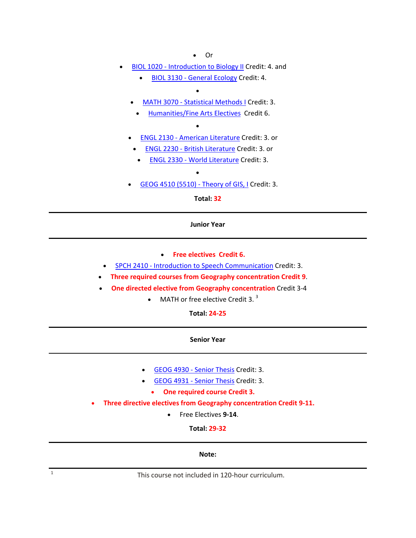• Or

- BIOL 1020 Introduction to Biology II Credit: 4. and
	- BIOL 3130 General Ecology Credit: 4.
	- • MATH 3070 ‐ Statistical Methods I Credit: 3.
	- Humanities/Fine Arts Electives Credit 6.
	- • ENGL 2130 - American Literature Credit: 3. or
		- ENGL 2230 British Literature Credit: 3. or
		- ENGL 2330 World Literature Credit: 3.
	- GEOG 4510 (5510) Theory of GIS, I Credit: 3.

•

**Total: 32**

#### **Junior Year**

- **Free electives Credit 6.**
- SPCH 2410 Introduction to Speech Communication Credit: 3.
- **Three required courses from Geography concentration Credit 9**.
- **One directed elective from Geography concentration** Credit 3‐4
	- MATH or free elective Credit 3. $3$

**Total: 24‐25**

**Senior Year**

- GEOG 4930 ‐ Senior Thesis Credit: 3.
- GEOG 4931 ‐ Senior Thesis Credit: 3.
	- **One required course Credit 3.**
- **Three directive electives from Geography concentration Credit 9‐11.** 
	- Free Electives **9‐14**.

**Total: 29‐32**

#### **Note:**

<sup>1</sup> This course not included in 120‐hour curriculum.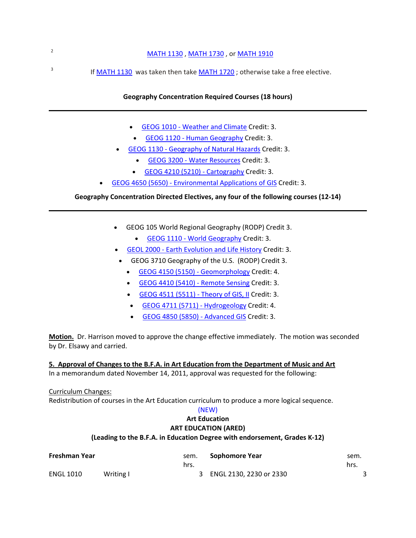# <sup>2</sup> MATH 1130 , MATH 1730 , or MATH 1910 <sup>3</sup> If MATH 1130 was taken then take MATH 1720; otherwise take a free elective.

#### **Geography Concentration Required Courses (18 hours)**

- GEOG 1010 ‐ Weather and Climate Credit: 3.
- GEOG 1120 Human Geography Credit: 3.
- GEOG 1130 ‐ Geography of Natural Hazards Credit: 3.
	- GEOG 3200 ‐ Water Resources Credit: 3.
	- GEOG 4210 (5210) Cartography Credit: 3.
- GEOG 4650 (5650) ‐ Environmental Applications of GIS Credit: 3.

#### **Geography Concentration Directed Electives, any four of the following courses (12‐14)**

- GEOG 105 World Regional Geography (RODP) Credit 3.
	- GEOG 1110 World Geography Credit: 3.
- GEOL 2000 ‐ Earth Evolution and Life History Credit: 3.
- GEOG 3710 Geography of the U.S. (RODP) Credit 3.
	- GEOG 4150 (5150) Geomorphology Credit: 4.
	- GEOG 4410 (5410) ‐ Remote Sensing Credit: 3.
	- GEOG 4511 (5511) Theory of GIS, II Credit: 3.
	- GEOG 4711 (5711) Hydrogeology Credit: 4.
	- GEOG 4850 (5850) Advanced GIS Credit: 3.

**Motion.** Dr. Harrison moved to approve the change effective immediately. The motion was seconded by Dr. Elsawy and carried.

#### **5. Approval of Changes to the B.F.A. in Art Education from the Department of Music and Art**

In a memorandum dated November 14, 2011, approval was requested for the following:

Curriculum Changes:

Redistribution of courses in the Art Education curriculum to produce a more logical sequence.

#### (NEW)

#### **Art Education ART EDUCATION (ARED)**

### **(Leading to the B.F.A. in Education Degree with endorsement, Grades K‐12)**

| Freshman Year |           | sem. | Sophomore Year            | sem. |
|---------------|-----------|------|---------------------------|------|
|               |           | hrs. |                           | hrs. |
| ENGL 1010     | Writing I |      | 3 ENGL 2130, 2230 or 2330 |      |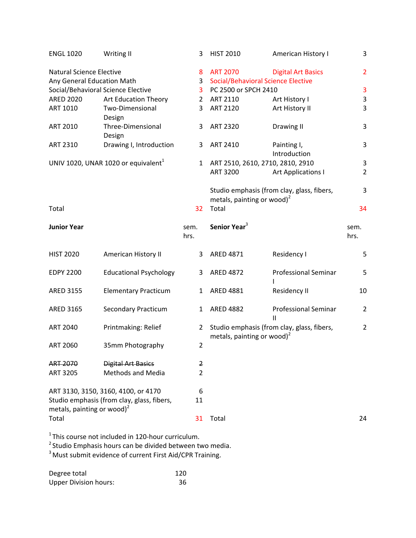| <b>ENGL 1020</b>                       | Writing II                                           | 3              | <b>HIST 2010</b>                          | American History I                         | 3                       |
|----------------------------------------|------------------------------------------------------|----------------|-------------------------------------------|--------------------------------------------|-------------------------|
| <b>Natural Science Elective</b>        |                                                      | 8              | <b>ART 2070</b>                           | <b>Digital Art Basics</b>                  | $\overline{2}$          |
| Any General Education Math             |                                                      | 3              | <b>Social/Behavioral Science Elective</b> |                                            |                         |
|                                        | Social/Behavioral Science Elective                   | 3              | PC 2500 or SPCH 2410                      |                                            | $\overline{\mathbf{3}}$ |
| <b>ARED 2020</b>                       | Art Education Theory                                 | $\overline{2}$ | ART 2110                                  | Art History I                              | $\mathsf 3$             |
| ART 1010                               | Two-Dimensional                                      | 3              | <b>ART 2120</b>                           | Art History II                             | 3                       |
|                                        | Design                                               |                |                                           |                                            |                         |
| <b>ART 2010</b>                        | Three-Dimensional                                    | 3              | <b>ART 2320</b>                           | Drawing II                                 | 3                       |
|                                        | Design                                               |                |                                           |                                            |                         |
| <b>ART 2310</b>                        | Drawing I, Introduction                              | 3              | ART 2410                                  | Painting I,                                | 3                       |
|                                        |                                                      |                |                                           | Introduction                               |                         |
|                                        | UNIV 1020, UNAR 1020 or equivalent <sup>1</sup>      | $\mathbf{1}$   | ART 2510, 2610, 2710, 2810, 2910          |                                            | 3                       |
|                                        |                                                      |                | <b>ART 3200</b>                           | <b>Art Applications I</b>                  | $\overline{2}$          |
|                                        |                                                      |                |                                           |                                            |                         |
|                                        |                                                      |                |                                           |                                            | 3                       |
|                                        |                                                      |                | metals, painting or wood) <sup>2</sup>    | Studio emphasis (from clay, glass, fibers, |                         |
|                                        |                                                      |                |                                           |                                            |                         |
| Total                                  |                                                      | 32             | Total                                     |                                            | 34                      |
| <b>Junior Year</b>                     |                                                      | sem.           | Senior Year <sup>3</sup>                  |                                            | sem.                    |
|                                        |                                                      |                |                                           |                                            |                         |
|                                        |                                                      | hrs.           |                                           |                                            | hrs.                    |
| <b>HIST 2020</b>                       | American History II                                  | 3              | <b>ARED 4871</b>                          | Residency I                                | 5                       |
|                                        |                                                      |                |                                           |                                            |                         |
| <b>EDPY 2200</b>                       | <b>Educational Psychology</b>                        | 3              | <b>ARED 4872</b>                          | <b>Professional Seminar</b>                | 5                       |
|                                        |                                                      |                |                                           |                                            |                         |
| <b>ARED 3155</b>                       | <b>Elementary Practicum</b>                          | 1              | <b>ARED 4881</b>                          | Residency II                               | 10                      |
|                                        |                                                      |                |                                           |                                            |                         |
| <b>ARED 3165</b>                       | <b>Secondary Practicum</b>                           | 1              | <b>ARED 4882</b>                          | <b>Professional Seminar</b>                | $\overline{2}$          |
|                                        |                                                      |                |                                           | $\mathbf{I}$                               |                         |
| <b>ART 2040</b>                        | Printmaking: Relief                                  | $\overline{2}$ |                                           | Studio emphasis (from clay, glass, fibers, | $\overline{2}$          |
|                                        |                                                      |                | metals, painting or wood) <sup>2</sup>    |                                            |                         |
| <b>ART 2060</b>                        | 35mm Photography                                     | $\overline{2}$ |                                           |                                            |                         |
|                                        |                                                      |                |                                           |                                            |                         |
| <b>ART 2070</b>                        | <b>Digital Art Basics</b>                            | 2              |                                           |                                            |                         |
| <b>ART 3205</b>                        | <b>Methods and Media</b>                             | $\overline{2}$ |                                           |                                            |                         |
|                                        |                                                      |                |                                           |                                            |                         |
|                                        | ART 3130, 3150, 3160, 4100, or 4170                  | 6              |                                           |                                            |                         |
|                                        | Studio emphasis (from clay, glass, fibers,           | 11             |                                           |                                            |                         |
| metals, painting or wood) <sup>2</sup> |                                                      |                |                                           |                                            |                         |
| Total                                  |                                                      | 31             | Total                                     |                                            | 24                      |
|                                        |                                                      |                |                                           |                                            |                         |
|                                        | $1$ This course not included in 120-hour curriculum. |                |                                           |                                            |                         |

 $2$ Studio Emphasis hours can be divided between two media.

 $3$ Must submit evidence of current First Aid/CPR Training.

Degree total 120<br>
Upper Division hours: 120<br>
36 Upper Division hours: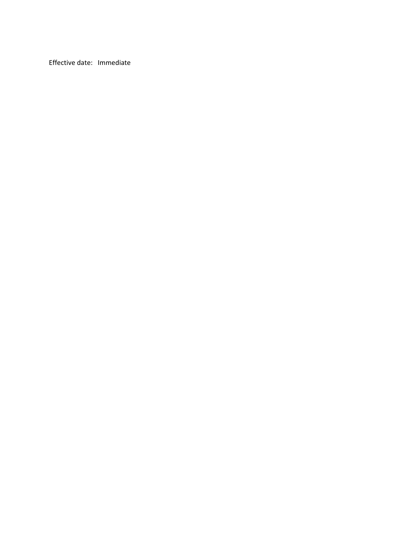Effective date: Immediate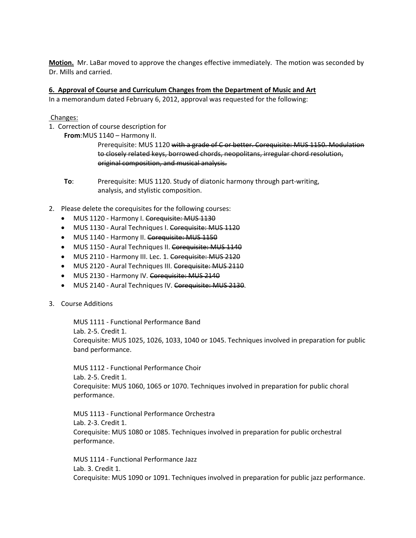**Motion.** Mr. LaBar moved to approve the changes effective immediately. The motion was seconded by Dr. Mills and carried.

#### **6. Approval of Course and Curriculum Changes from the Department of Music and Art**

In a memorandum dated February 6, 2012, approval was requested for the following:

Changes:

- 1. Correction of course description for
	- **From**:MUS 1140 Harmony II.

Prerequisite: MUS 1120 with a grade of C or better. Corequisite: MUS 1150. Modulation to closely related keys, borrowed chords, neopolitans, irregular chord resolution, original composition, and musical analysis.

- **To:** Prerequisite: MUS 1120. Study of diatonic harmony through part-writing, analysis, and stylistic composition.
- 2. Please delete the corequisites for the following courses:
	- MUS 1120 Harmony I. Corequisite: MUS 1130
	- MUS 1130 Aural Techniques I. Corequisite: MUS 1120
	- MUS 1140 Harmony II. Corequisite: MUS 1150
	- MUS 1150 Aural Techniques II. Corequisite: MUS 1140
	- MUS 2110 Harmony III. Lec. 1. Corequisite: MUS 2120
	- MUS 2120 Aural Techniques III. Corequisite: MUS 2110
	- MUS 2130 Harmony IV. Corequisite: MUS 2140
	- MUS 2140 Aural Techniques IV. Corequisite: MUS 2130.
- 3. Course Additions

MUS 1111 ‐ Functional Performance Band Lab. 2‐5. Credit 1. Corequisite: MUS 1025, 1026, 1033, 1040 or 1045. Techniques involved in preparation for public band performance.

MUS 1112 ‐ Functional Performance Choir Lab. 2‐5. Credit 1. Corequisite: MUS 1060, 1065 or 1070. Techniques involved in preparation for public choral performance.

MUS 1113 ‐ Functional Performance Orchestra Lab. 2‐3. Credit 1. Corequisite: MUS 1080 or 1085. Techniques involved in preparation for public orchestral performance.

MUS 1114 ‐ Functional Performance Jazz Lab. 3. Credit 1. Corequisite: MUS 1090 or 1091. Techniques involved in preparation for public jazz performance.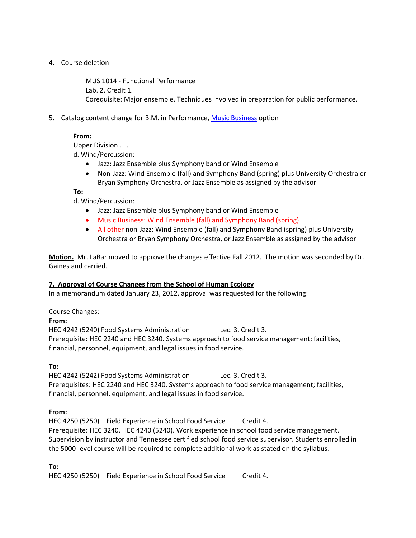#### 4. Course deletion

MUS 1014 ‐ Functional Performance Lab. 2. Credit 1. Corequisite: Major ensemble. Techniques involved in preparation for public performance.

5. Catalog content change for B.M. in Performance, Music Business option

#### **From:**

Upper Division . . .

d. Wind/Percussion:

- Jazz: Jazz Ensemble plus Symphony band or Wind Ensemble
- Non‐Jazz: Wind Ensemble (fall) and Symphony Band (spring) plus University Orchestra or Bryan Symphony Orchestra, or Jazz Ensemble as assigned by the advisor

**To:**

d. Wind/Percussion:

- Jazz: Jazz Ensemble plus Symphony band or Wind Ensemble
- Music Business: Wind Ensemble (fall) and Symphony Band (spring)
- All other non-Jazz: Wind Ensemble (fall) and Symphony Band (spring) plus University Orchestra or Bryan Symphony Orchestra, or Jazz Ensemble as assigned by the advisor

**Motion.** Mr. LaBar moved to approve the changes effective Fall 2012. The motion was seconded by Dr. Gaines and carried.

#### **7. Approval of Course Changes from the School of Human Ecology**

In a memorandum dated January 23, 2012, approval was requested for the following:

#### Course Changes:

#### **From:**

HEC 4242 (5240) Food Systems Administration Lec. 3. Credit 3. Prerequisite: HEC 2240 and HEC 3240. Systems approach to food service management; facilities, financial, personnel, equipment, and legal issues in food service.

#### **To:**

HEC 4242 (5242) Food Systems Administration Lec. 3. Credit 3. Prerequisites: HEC 2240 and HEC 3240. Systems approach to food service management; facilities, financial, personnel, equipment, and legal issues in food service.

#### **From:**

HEC 4250 (5250) – Field Experience in School Food Service Credit 4. Prerequisite: HEC 3240, HEC 4240 (5240). Work experience in school food service management. Supervision by instructor and Tennessee certified school food service supervisor. Students enrolled in the 5000‐level course will be required to complete additional work as stated on the syllabus.

#### **To:**

HEC 4250 (5250) – Field Experience in School Food Service Credit 4.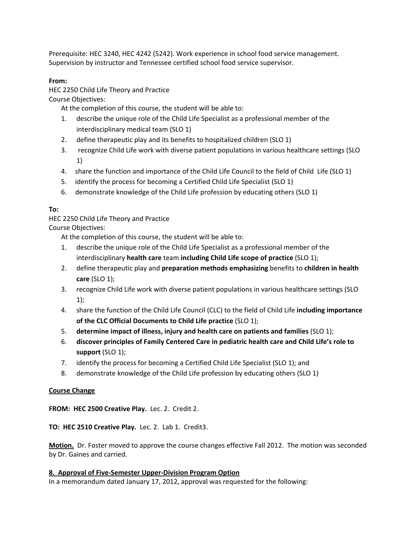Prerequisite: HEC 3240, HEC 4242 (5242). Work experience in school food service management. Supervision by instructor and Tennessee certified school food service supervisor.

#### **From:**

HEC 2250 Child Life Theory and Practice

Course Objectives:

At the completion of this course, the student will be able to:

- 1. describe the unique role of the Child Life Specialist as a professional member of the interdisciplinary medical team (SLO 1)
- 2. define therapeutic play and its benefits to hospitalized children (SLO 1)
- 3. recognize Child Life work with diverse patient populations in various healthcare settings (SLO 1)
- 4. share the function and importance of the Child Life Council to the field of Child Life (SLO 1)
- 5. identify the process for becoming a Certified Child Life Specialist (SLO 1)
- 6. demonstrate knowledge of the Child Life profession by educating others (SLO 1)

#### **To:**

HEC 2250 Child Life Theory and Practice

Course Objectives:

At the completion of this course, the student will be able to:

- 1. describe the unique role of the Child Life Specialist as a professional member of the interdisciplinary **health care** team **including Child Life scope of practice** (SLO 1);
- 2. define therapeutic play and **preparation methods emphasizing** benefits to **children in health care** (SLO 1);
- 3. recognize Child Life work with diverse patient populations in various healthcare settings (SLO 1);
- 4. share the function of the Child Life Council (CLC) to the field of Child Life **including importance of the CLC Official Documents to Child Life practice** (SLO 1);
- 5. **determine impact of illness, injury and health care on patients and families** (SLO 1);
- 6. **discover principles of Family Centered Care in pediatric health care and Child Life's role to support** (SLO 1);
- 7. identify the process for becoming a Certified Child Life Specialist (SLO 1); and
- 8. demonstrate knowledge of the Child Life profession by educating others (SLO 1)

#### **Course Change**

**FROM: HEC 2500 Creative Play.** Lec. 2. Credit 2.

**TO: HEC 2510 Creative Play.** Lec. 2. Lab 1. Credit3.

**Motion.** Dr. Foster moved to approve the course changes effective Fall 2012. The motion was seconded by Dr. Gaines and carried.

#### **8. Approval of Five‐Semester Upper‐Division Program Option**

In a memorandum dated January 17, 2012, approval was requested for the following: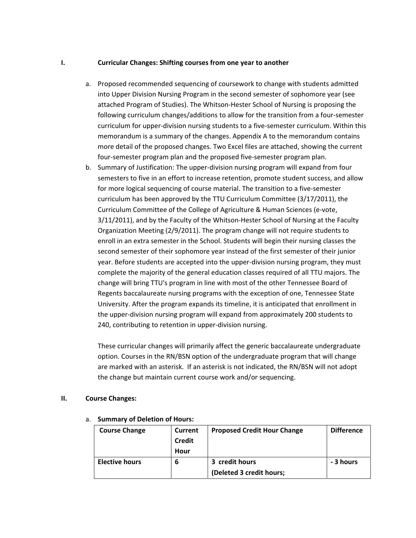#### **I. Curricular Changes: Shifting courses from one year to another**

- a. Proposed recommended sequencing of coursework to change with students admitted into Upper Division Nursing Program in the second semester of sophomore year (see attached Program of Studies). The Whitson‐Hester School of Nursing is proposing the following curriculum changes/additions to allow for the transition from a four‐semester curriculum for upper‐division nursing students to a five‐semester curriculum. Within this memorandum is a summary of the changes. Appendix A to the memorandum contains more detail of the proposed changes. Two Excel files are attached, showing the current four‐semester program plan and the proposed five‐semester program plan.
- b. Summary of Justification: The upper‐division nursing program will expand from four semesters to five in an effort to increase retention, promote student success, and allow for more logical sequencing of course material. The transition to a five-semester curriculum has been approved by the TTU Curriculum Committee (3/17/2011), the Curriculum Committee of the College of Agriculture & Human Sciences (e‐vote, 3/11/2011), and by the Faculty of the Whitson-Hester School of Nursing at the Faculty Organization Meeting (2/9/2011). The program change will not require students to enroll in an extra semester in the School. Students will begin their nursing classes the second semester of their sophomore year instead of the first semester of their junior year. Before students are accepted into the upper‐division nursing program, they must complete the majority of the general education classes required of all TTU majors. The change will bring TTU's program in line with most of the other Tennessee Board of Regents baccalaureate nursing programs with the exception of one, Tennessee State University. After the program expands its timeline, it is anticipated that enrollment in the upper‐division nursing program will expand from approximately 200 students to 240, contributing to retention in upper‐division nursing.

These curricular changes will primarily affect the generic baccalaureate undergraduate option. Courses in the RN/BSN option of the undergraduate program that will change are marked with an asterisk. If an asterisk is not indicated, the RN/BSN will not adopt the change but maintain current course work and/or sequencing.

#### **II. Course Changes:**

| <b>Course Change</b>  | <b>Current</b><br><b>Credit</b><br>Hour | <b>Proposed Credit Hour Change</b>         | <b>Difference</b> |
|-----------------------|-----------------------------------------|--------------------------------------------|-------------------|
| <b>Elective hours</b> | 6                                       | 3 credit hours<br>(Deleted 3 credit hours; | - 3 hours         |

#### a. **Summary of Deletion of Hours:**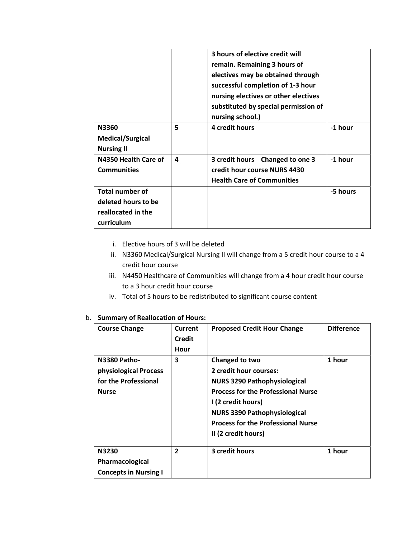|                                                                                   |   | 3 hours of elective credit will<br>remain. Remaining 3 hours of<br>electives may be obtained through<br>successful completion of 1-3 hour<br>nursing electives or other electives<br>substituted by special permission of<br>nursing school.) |          |
|-----------------------------------------------------------------------------------|---|-----------------------------------------------------------------------------------------------------------------------------------------------------------------------------------------------------------------------------------------------|----------|
| N3360<br><b>Medical/Surgical</b><br><b>Nursing II</b>                             | 5 | 4 credit hours                                                                                                                                                                                                                                | -1 hour  |
| N4350 Health Care of<br><b>Communities</b>                                        | 4 | 3 credit hours Changed to one 3<br>credit hour course NURS 4430<br><b>Health Care of Communities</b>                                                                                                                                          | -1 hour  |
| <b>Total number of</b><br>deleted hours to be<br>reallocated in the<br>curriculum |   |                                                                                                                                                                                                                                               | -5 hours |

- i. Elective hours of 3 will be deleted
- ii. N3360 Medical/Surgical Nursing II will change from a 5 credit hour course to a 4 credit hour course
- iii. N4450 Healthcare of Communities will change from a 4 hour credit hour course to a 3 hour credit hour course
- iv. Total of 5 hours to be redistributed to significant course content

#### b. **Summary of Reallocation of Hours:**

| <b>Course Change</b>                                                                 | Current<br><b>Credit</b><br>Hour | <b>Proposed Credit Hour Change</b>                                                                                                                                                                                                                            | <b>Difference</b> |
|--------------------------------------------------------------------------------------|----------------------------------|---------------------------------------------------------------------------------------------------------------------------------------------------------------------------------------------------------------------------------------------------------------|-------------------|
| <b>N3380 Patho-</b><br>physiological Process<br>for the Professional<br><b>Nurse</b> | 3                                | Changed to two<br>2 credit hour courses:<br><b>NURS 3290 Pathophysiological</b><br><b>Process for the Professional Nurse</b><br>I (2 credit hours)<br><b>NURS 3390 Pathophysiological</b><br><b>Process for the Professional Nurse</b><br>II (2 credit hours) | 1 hour            |
| N3230<br>Pharmacological<br><b>Concepts in Nursing I</b>                             | $\overline{2}$                   | 3 credit hours                                                                                                                                                                                                                                                | 1 hour            |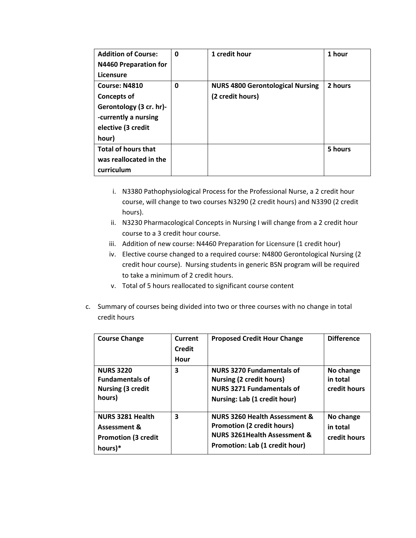| <b>Addition of Course:</b><br>N4460 Preparation for<br>Licensure                                                      | $\mathbf 0$ | 1 credit hour                                               | 1 hour  |
|-----------------------------------------------------------------------------------------------------------------------|-------------|-------------------------------------------------------------|---------|
| Course: N4810<br><b>Concepts of</b><br>Gerontology (3 cr. hr)-<br>-currently a nursing<br>elective (3 credit<br>hour) | 0           | <b>NURS 4800 Gerontological Nursing</b><br>(2 credit hours) | 2 hours |
| <b>Total of hours that</b><br>was reallocated in the<br>curriculum                                                    |             |                                                             | 5 hours |

- i. N3380 Pathophysiological Process for the Professional Nurse, a 2 credit hour course, will change to two courses N3290 (2 credit hours) and N3390 (2 credit hours).
- ii. N3230 Pharmacological Concepts in Nursing I will change from a 2 credit hour course to a 3 credit hour course.
- iii. Addition of new course: N4460 Preparation for Licensure (1 credit hour)
- iv. Elective course changed to a required course: N4800 Gerontological Nursing (2 credit hour course). Nursing students in generic BSN program will be required to take a minimum of 2 credit hours.
- v. Total of 5 hours reallocated to significant course content
- c. Summary of courses being divided into two or three courses with no change in total credit hours

| <b>Course Change</b>                                                             | Current<br><b>Credit</b><br>Hour | <b>Proposed Credit Hour Change</b>                                                                                                                         | <b>Difference</b>                     |
|----------------------------------------------------------------------------------|----------------------------------|------------------------------------------------------------------------------------------------------------------------------------------------------------|---------------------------------------|
| <b>NURS 3220</b><br><b>Fundamentals of</b><br><b>Nursing (3 credit</b><br>hours) | 3                                | <b>NURS 3270 Fundamentals of</b><br>Nursing (2 credit hours)<br><b>NURS 3271 Fundamentals of</b><br>Nursing: Lab (1 credit hour)                           | No change<br>in total<br>credit hours |
| <b>NURS 3281 Health</b><br>Assessment &<br><b>Promotion (3 credit</b><br>hours)* | 3                                | <b>NURS 3260 Health Assessment &amp;</b><br><b>Promotion (2 credit hours)</b><br><b>NURS 3261Health Assessment &amp;</b><br>Promotion: Lab (1 credit hour) | No change<br>in total<br>credit hours |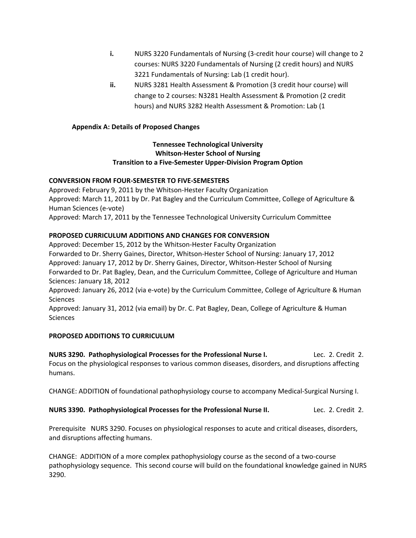- **i.** NURS 3220 Fundamentals of Nursing (3-credit hour course) will change to 2 courses: NURS 3220 Fundamentals of Nursing (2 credit hours) and NURS 3221 Fundamentals of Nursing: Lab (1 credit hour).
- **ii.** NURS 3281 Health Assessment & Promotion (3 credit hour course) will change to 2 courses: N3281 Health Assessment & Promotion (2 credit hours) and NURS 3282 Health Assessment & Promotion: Lab (1

#### **Appendix A: Details of Proposed Changes**

#### **Tennessee Technological University Whitson‐Hester School of Nursing Transition to a Five‐Semester Upper‐Division Program Option**

#### **CONVERSION FROM FOUR‐SEMESTER TO FIVE‐SEMESTERS**

Approved: February 9, 2011 by the Whitson‐Hester Faculty Organization Approved: March 11, 2011 by Dr. Pat Bagley and the Curriculum Committee, College of Agriculture & Human Sciences (e‐vote) Approved: March 17, 2011 by the Tennessee Technological University Curriculum Committee

#### **PROPOSED CURRICULUM ADDITIONS AND CHANGES FOR CONVERSION**

Approved: December 15, 2012 by the Whitson‐Hester Faculty Organization Forwarded to Dr. Sherry Gaines, Director, Whitson‐Hester School of Nursing: January 17, 2012 Approved: January 17, 2012 by Dr. Sherry Gaines, Director, Whitson‐Hester School of Nursing Forwarded to Dr. Pat Bagley, Dean, and the Curriculum Committee, College of Agriculture and Human Sciences: January 18, 2012 Approved: January 26, 2012 (via e-vote) by the Curriculum Committee, College of Agriculture & Human **Sciences** 

Approved: January 31, 2012 (via email) by Dr. C. Pat Bagley, Dean, College of Agriculture & Human **Sciences** 

#### **PROPOSED ADDITIONS TO CURRICULUM**

**NURS 3290. Pathophysiological Processes for the Professional Nurse I.** Lec. 2. Credit 2. Focus on the physiological responses to various common diseases, disorders, and disruptions affecting humans.

CHANGE: ADDITION of foundational pathophysiology course to accompany Medical‐Surgical Nursing I.

**NURS 3390. Pathophysiological Processes for the Professional Nurse II.** Lec. 2. Credit 2.

Prerequisite NURS 3290. Focuses on physiological responses to acute and critical diseases, disorders, and disruptions affecting humans.

CHANGE: ADDITION of a more complex pathophysiology course as the second of a two‐course pathophysiology sequence. This second course will build on the foundational knowledge gained in NURS 3290.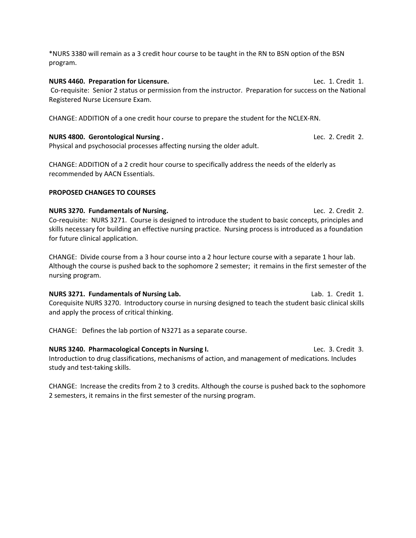\*NURS 3380 will remain as a 3 credit hour course to be taught in the RN to BSN option of the BSN program.

**NURS 4460. Preparation for Licensure.** Lec. 1. Credit 1. Co-requisite: Senior 2 status or permission from the instructor. Preparation for success on the National Registered Nurse Licensure Exam.

CHANGE: ADDITION of a one credit hour course to prepare the student for the NCLEX‐RN.

#### **NURS 4800. Gerontological Nursing .** Lec. 2. Credit 2.

Physical and psychosocial processes affecting nursing the older adult.

CHANGE: ADDITION of a 2 credit hour course to specifically address the needs of the elderly as recommended by AACN Essentials.

#### **PROPOSED CHANGES TO COURSES**

**NURS 3270. Fundamentals of Nursing.** Lec. 2. Credit 2. Co-requisite: NURS 3271. Course is designed to introduce the student to basic concepts, principles and skills necessary for building an effective nursing practice. Nursing process is introduced as a foundation for future clinical application.

CHANGE: Divide course from a 3 hour course into a 2 hour lecture course with a separate 1 hour lab. Although the course is pushed back to the sophomore 2 semester; it remains in the first semester of the nursing program.

**NURS 3271. Fundamentals of Nursing Lab.** Lab. 1. Credit 1. Corequisite NURS 3270. Introductory course in nursing designed to teach the student basic clinical skills and apply the process of critical thinking.

CHANGE: Defines the lab portion of N3271 as a separate course.

**NURS 3240. Pharmacological Concepts in Nursing I.** Lec. 3. Credit 3. Introduction to drug classifications, mechanisms of action, and management of medications. Includes study and test-taking skills.

CHANGE: Increase the credits from 2 to 3 credits. Although the course is pushed back to the sophomore 2 semesters, it remains in the first semester of the nursing program.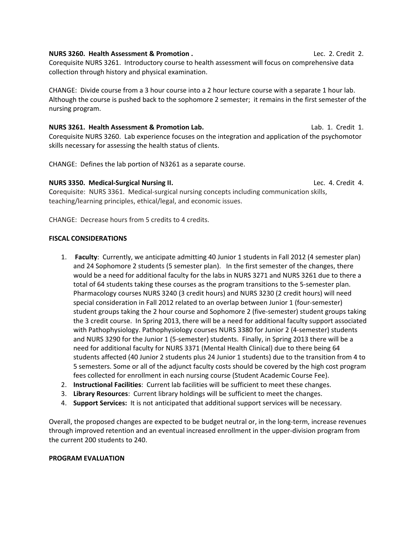#### **NURS 3260. Health Assessment & Promotion .** Lec. 2. Credit 2.

Corequisite NURS 3261. Introductory course to health assessment will focus on comprehensive data collection through history and physical examination.

CHANGE: Divide course from a 3 hour course into a 2 hour lecture course with a separate 1 hour lab. Although the course is pushed back to the sophomore 2 semester; it remains in the first semester of the nursing program.

**NURS 3261. Health Assessment & Promotion Lab.** Lab. 1. Credit 1. Corequisite NURS 3260. Lab experience focuses on the integration and application of the psychomotor skills necessary for assessing the health status of clients.

CHANGE: Defines the lab portion of N3261 as a separate course.

#### **NURS 3350. Medical‐Surgical Nursing II.**  Lec. 4. Credit 4.

Corequisite: NURS 3361. Medical‐surgical nursing concepts including communication skills, teaching/learning principles, ethical/legal, and economic issues.

CHANGE: Decrease hours from 5 credits to 4 credits.

#### **FISCAL CONSIDERATIONS**

- 1. **Faculty**: Currently, we anticipate admitting 40 Junior 1 students in Fall 2012 (4 semester plan) and 24 Sophomore 2 students (5 semester plan). In the first semester of the changes, there would be a need for additional faculty for the labs in NURS 3271 and NURS 3261 due to there a total of 64 students taking these courses as the program transitions to the 5‐semester plan. Pharmacology courses NURS 3240 (3 credit hours) and NURS 3230 (2 credit hours) will need special consideration in Fall 2012 related to an overlap between Junior 1 (four-semester) student groups taking the 2 hour course and Sophomore 2 (five‐semester) student groups taking the 3 credit course. In Spring 2013, there will be a need for additional faculty support associated with Pathophysiology. Pathophysiology courses NURS 3380 for Junior 2 (4‐semester) students and NURS 3290 for the Junior 1 (5‐semester) students. Finally, in Spring 2013 there will be a need for additional faculty for NURS 3371 (Mental Health Clinical) due to there being 64 students affected (40 Junior 2 students plus 24 Junior 1 students) due to the transition from 4 to 5 semesters. Some or all of the adjunct faculty costs should be covered by the high cost program fees collected for enrollment in each nursing course (Student Academic Course Fee).
- 2. **Instructional Facilities**: Current lab facilities will be sufficient to meet these changes.
- 3. **Library Resources**: Current library holdings will be sufficient to meet the changes.
- 4. **Support Services:** It is not anticipated that additional support services will be necessary.

Overall, the proposed changes are expected to be budget neutral or, in the long-term, increase revenues through improved retention and an eventual increased enrollment in the upper‐division program from the current 200 students to 240.

#### **PROGRAM EVALUATION**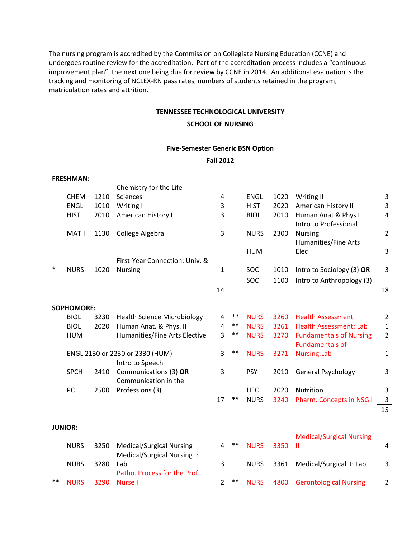The nursing program is accredited by the Commission on Collegiate Nursing Education (CCNE) and undergoes routine review for the accreditation. Part of the accreditation process includes a "continuous improvement plan", the next one being due for review by CCNE in 2014. An additional evaluation is the tracking and monitoring of NCLEX‐RN pass rates, numbers of students retained in the program, matriculation rates and attrition.

#### **TENNESSEE TECHNOLOGICAL UNIVERSITY**

#### **SCHOOL OF NURSING**

#### **Five‐Semester Generic BSN Option**

#### **Fall 2012**

|        | <b>FRESHMAN:</b>  |      |                                    |                |       |             |      |                                 |                |
|--------|-------------------|------|------------------------------------|----------------|-------|-------------|------|---------------------------------|----------------|
|        |                   |      | Chemistry for the Life             |                |       |             |      |                                 |                |
|        | <b>CHEM</b>       | 1210 | <b>Sciences</b>                    | 4              |       | <b>ENGL</b> | 1020 | Writing II                      | 3              |
|        | <b>ENGL</b>       | 1010 | Writing I                          | 3              |       | <b>HIST</b> | 2020 | American History II             | 3              |
|        | <b>HIST</b>       | 2010 | American History I                 | 3              |       | <b>BIOL</b> | 2010 | Human Anat & Phys I             | 4              |
|        |                   |      |                                    |                |       |             |      | Intro to Professional           |                |
|        | <b>MATH</b>       | 1130 | College Algebra                    | 3              |       | <b>NURS</b> | 2300 | <b>Nursing</b>                  | $\overline{2}$ |
|        |                   |      |                                    |                |       |             |      | <b>Humanities/Fine Arts</b>     |                |
|        |                   |      |                                    |                |       | <b>HUM</b>  |      | Elec                            | 3              |
|        |                   |      | First-Year Connection: Univ. &     |                |       |             |      |                                 |                |
| $\ast$ | <b>NURS</b>       | 1020 | <b>Nursing</b>                     | $\mathbf{1}$   |       | SOC         | 1010 | Intro to Sociology (3) OR       | 3              |
|        |                   |      |                                    |                |       | <b>SOC</b>  | 1100 | Intro to Anthropology (3)       |                |
|        |                   |      |                                    | 14             |       |             |      |                                 | 18             |
|        | <b>SOPHOMORE:</b> |      |                                    |                |       |             |      |                                 |                |
|        | <b>BIOL</b>       | 3230 | <b>Health Science Microbiology</b> | 4              | $***$ | <b>NURS</b> | 3260 | <b>Health Assessment</b>        | $\overline{2}$ |
|        | <b>BIOL</b>       | 2020 | Human Anat. & Phys. II             | 4              | $***$ | <b>NURS</b> | 3261 | <b>Health Assessment: Lab</b>   | $\mathbf{1}$   |
|        | <b>HUM</b>        |      | Humanities/Fine Arts Elective      | 3              | **    | <b>NURS</b> | 3270 | <b>Fundamentals of Nursing</b>  | $\overline{2}$ |
|        |                   |      |                                    |                |       |             |      | <b>Fundamentals of</b>          |                |
|        |                   |      | ENGL 2130 or 2230 or 2330 (HUM)    | 3              | $***$ | <b>NURS</b> | 3271 | Nursing:Lab                     | $\mathbf{1}$   |
|        |                   |      | Intro to Speech                    |                |       |             |      |                                 |                |
|        | <b>SPCH</b>       | 2410 | Communications (3) OR              | 3              |       | <b>PSY</b>  | 2010 | General Psychology              | 3              |
|        |                   |      | Communication in the               |                |       |             |      |                                 |                |
|        | PC                | 2500 | Professions (3)                    |                |       | <b>HEC</b>  | 2020 | Nutrition                       | 3              |
|        |                   |      |                                    | 17             | $**$  | <b>NURS</b> | 3240 | Pharm. Concepts in NSG I        | $\mathbf{3}$   |
|        |                   |      |                                    |                |       |             |      |                                 | 15             |
|        |                   |      |                                    |                |       |             |      |                                 |                |
|        | <b>JUNIOR:</b>    |      |                                    |                |       |             |      |                                 |                |
|        |                   |      |                                    |                |       |             |      | <b>Medical/Surgical Nursing</b> |                |
|        | <b>NURS</b>       | 3250 | <b>Medical/Surgical Nursing I</b>  | 4              | $***$ | <b>NURS</b> | 3350 | Ш                               | 4              |
|        |                   |      | Medical/Surgical Nursing I:        |                |       |             |      |                                 |                |
|        | <b>NURS</b>       | 3280 | Lab                                | 3              |       | <b>NURS</b> | 3361 | Medical/Surgical II: Lab        | 3              |
|        |                   |      | Patho. Process for the Prof.       |                |       |             |      |                                 |                |
| $**$   | <b>NURS</b>       | 3290 | Nurse I                            | $\overline{2}$ | $***$ | <b>NURS</b> | 4800 | <b>Gerontological Nursing</b>   | $\overline{2}$ |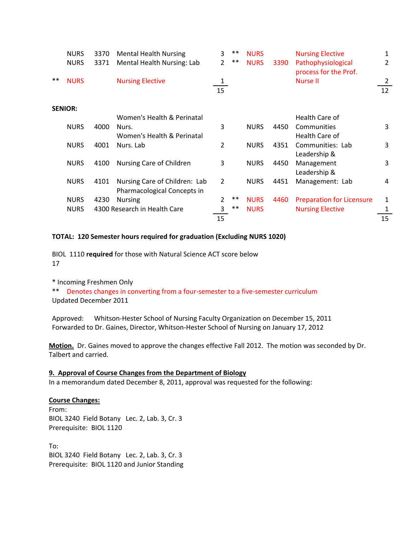|       | <b>NURS</b><br><b>NURS</b> | 3370<br>3371 | <b>Mental Health Nursing</b><br>Mental Health Nursing: Lab | 3<br>$\overline{2}$ | $***$<br>$***$ | <b>NURS</b><br><b>NURS</b> | 3390 | <b>Nursing Elective</b><br>Pathophysiological | 1<br>2  |
|-------|----------------------------|--------------|------------------------------------------------------------|---------------------|----------------|----------------------------|------|-----------------------------------------------|---------|
| $***$ | <b>NURS</b>                |              | <b>Nursing Elective</b>                                    | 1<br>15             |                |                            |      | process for the Prof.<br>Nurse II             | 2<br>12 |
|       | <b>SENIOR:</b>             |              |                                                            |                     |                |                            |      |                                               |         |
|       |                            |              | Women's Health & Perinatal                                 |                     |                |                            |      | Health Care of                                |         |
|       | <b>NURS</b>                | 4000         | Nurs.                                                      | 3                   |                | <b>NURS</b>                | 4450 | Communities                                   | 3       |
|       |                            |              | Women's Health & Perinatal                                 |                     |                |                            |      | Health Care of                                |         |
|       | <b>NURS</b>                | 4001         | Nurs. Lab                                                  | $\overline{2}$      |                | <b>NURS</b>                | 4351 | Communities: Lab                              | 3       |
|       |                            |              |                                                            |                     |                |                            |      | Leadership &                                  |         |
|       | <b>NURS</b>                | 4100         | Nursing Care of Children                                   | 3                   |                | <b>NURS</b>                | 4450 | Management                                    | 3       |
|       |                            |              |                                                            |                     |                |                            |      | Leadership &                                  |         |
|       | <b>NURS</b>                | 4101         | Nursing Care of Children: Lab                              | $\overline{2}$      |                | <b>NURS</b>                | 4451 | Management: Lab                               | 4       |
|       |                            |              | Pharmacological Concepts in                                |                     |                |                            |      |                                               |         |
|       | <b>NURS</b>                | 4230         | <b>Nursing</b>                                             | $\overline{2}$      | $***$          | <b>NURS</b>                | 4460 | <b>Preparation for Licensure</b>              | 1       |
|       | <b>NURS</b>                |              | 4300 Research in Health Care                               | 3                   | $***$          | <b>NURS</b>                |      | <b>Nursing Elective</b>                       | 1       |
|       |                            |              |                                                            |                     |                |                            |      |                                               |         |
|       |                            |              |                                                            | 15                  |                |                            |      |                                               | 15      |

#### **TOTAL: 120 Semester hours required for graduation (Excluding NURS 1020)**

BIOL 1110 **required** for those with Natural Science ACT score below 17

\* Incoming Freshmen Only \*\* Denotes changes in converting from a four‐semester to a five‐semester curriculum Updated December 2011

Approved: Whitson-Hester School of Nursing Faculty Organization on December 15, 2011 Forwarded to Dr. Gaines, Director, Whitson‐Hester School of Nursing on January 17, 2012

**Motion.** Dr. Gaines moved to approve the changes effective Fall 2012. The motion was seconded by Dr. Talbert and carried.

## **9. Approval of Course Changes from the Department of Biology**

In a memorandum dated December 8, 2011, approval was requested for the following:

#### **Course Changes:**

From: BIOL 3240 Field Botany Lec. 2, Lab. 3, Cr. 3 Prerequisite: BIOL 1120

To: BIOL 3240 Field Botany Lec. 2, Lab. 3, Cr. 3 Prerequisite: BIOL 1120 and Junior Standing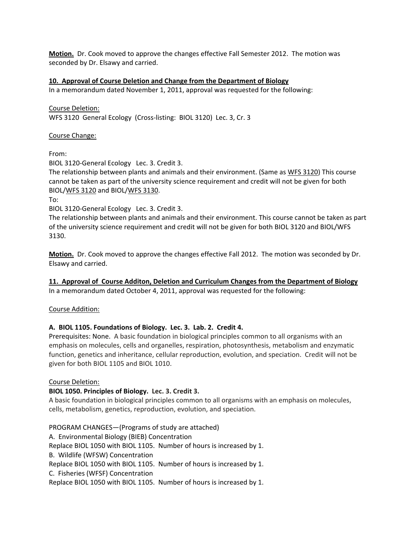**Motion.** Dr. Cook moved to approve the changes effective Fall Semester 2012. The motion was seconded by Dr. Elsawy and carried.

#### **10. Approval of Course Deletion and Change from the Department of Biology**

In a memorandum dated November 1, 2011, approval was requested for the following:

Course Deletion: WFS 3120 General Ecology (Cross-listing: BIOL 3120) Lec. 3, Cr. 3

Course Change:

From:

BIOL 3120-General Ecology Lec. 3. Credit 3.

The relationship between plants and animals and their environment. (Same as WFS 3120) This course cannot be taken as part of the university science requirement and credit will not be given for both BIOL/WFS 3120 and BIOL/WFS 3130.

To:

BIOL 3120‐General Ecology Lec. 3. Credit 3.

The relationship between plants and animals and their environment. This course cannot be taken as part of the university science requirement and credit will not be given for both BIOL 3120 and BIOL/WFS 3130.

**Motion.** Dr. Cook moved to approve the changes effective Fall 2012. The motion was seconded by Dr. Elsawy and carried.

**11. Approval of Course Additon, Deletion and Curriculum Changes from the Department of Biology** In a memorandum dated October 4, 2011, approval was requested for the following:

Course Addition:

#### **A. BIOL 1105. Foundations of Biology. Lec. 3. Lab. 2. Credit 4.**

Prerequisites: None. A basic foundation in biological principles common to all organisms with an emphasis on molecules, cells and organelles, respiration, photosynthesis, metabolism and enzymatic function, genetics and inheritance, cellular reproduction, evolution, and speciation. Credit will not be given for both BIOL 1105 and BIOL 1010.

#### Course Deletion:

#### **BIOL 1050. Principles of Biology. Lec. 3. Credit 3.**

A basic foundation in biological principles common to all organisms with an emphasis on molecules, cells, metabolism, genetics, reproduction, evolution, and speciation.

PROGRAM CHANGES—(Programs of study are attached) A. Environmental Biology (BIEB) Concentration Replace BIOL 1050 with BIOL 1105. Number of hours is increased by 1. B. Wildlife (WFSW) Concentration Replace BIOL 1050 with BIOL 1105. Number of hours is increased by 1. C. Fisheries (WFSF) Concentration Replace BIOL 1050 with BIOL 1105. Number of hours is increased by 1.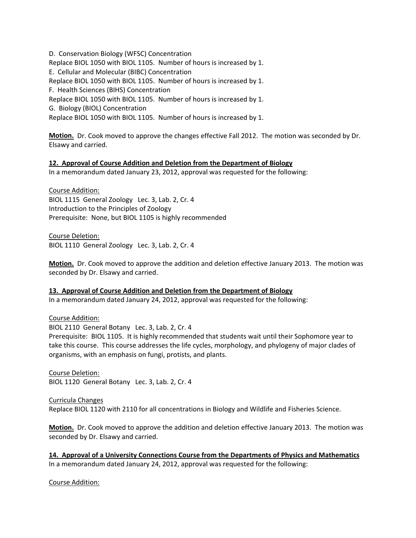D. Conservation Biology (WFSC) Concentration Replace BIOL 1050 with BIOL 1105. Number of hours is increased by 1. E. Cellular and Molecular (BIBC) Concentration Replace BIOL 1050 with BIOL 1105. Number of hours is increased by 1. F. Health Sciences (BIHS) Concentration Replace BIOL 1050 with BIOL 1105. Number of hours is increased by 1. G. Biology (BIOL) Concentration Replace BIOL 1050 with BIOL 1105. Number of hours is increased by 1.

**Motion.** Dr. Cook moved to approve the changes effective Fall 2012. The motion was seconded by Dr. Elsawy and carried.

#### **12. Approval of Course Addition and Deletion from the Department of Biology**

In a memorandum dated January 23, 2012, approval was requested for the following:

Course Addition: BIOL 1115 General Zoology Lec. 3, Lab. 2, Cr. 4 Introduction to the Principles of Zoology Prerequisite: None, but BIOL 1105 is highly recommended

Course Deletion: BIOL 1110 General Zoology Lec. 3, Lab. 2, Cr. 4

**Motion.** Dr. Cook moved to approve the addition and deletion effective January 2013. The motion was seconded by Dr. Elsawy and carried.

#### **13. Approval of Course Addition and Deletion from the Department of Biology**

In a memorandum dated January 24, 2012, approval was requested for the following:

Course Addition:

BIOL 2110 General Botany Lec. 3, Lab. 2, Cr. 4

Prerequisite: BIOL 1105. It is highly recommended that students wait until their Sophomore year to take this course. This course addresses the life cycles, morphology, and phylogeny of major clades of organisms, with an emphasis on fungi, protists, and plants.

Course Deletion: BIOL 1120 General Botany Lec. 3, Lab. 2, Cr. 4

Curricula Changes Replace BIOL 1120 with 2110 for all concentrations in Biology and Wildlife and Fisheries Science.

**Motion.** Dr. Cook moved to approve the addition and deletion effective January 2013. The motion was seconded by Dr. Elsawy and carried.

**14. Approval of a University Connections Course from the Departments of Physics and Mathematics** In a memorandum dated January 24, 2012, approval was requested for the following:

Course Addition: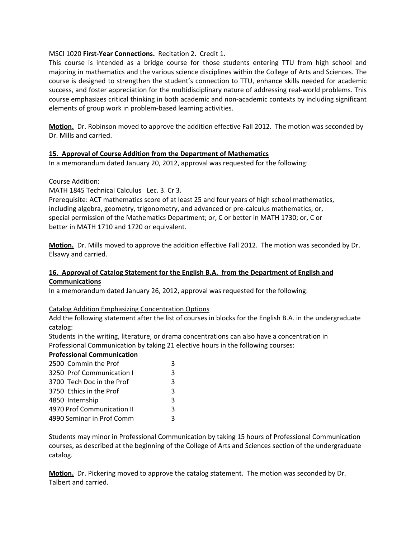#### MSCI 1020 **First‐Year Connections.** Recitation 2. Credit 1.

This course is intended as a bridge course for those students entering TTU from high school and majoring in mathematics and the various science disciplines within the College of Arts and Sciences. The course is designed to strengthen the student's connection to TTU, enhance skills needed for academic success, and foster appreciation for the multidisciplinary nature of addressing real‐world problems. This course emphasizes critical thinking in both academic and non-academic contexts by including significant elements of group work in problem‐based learning activities.

**Motion.** Dr. Robinson moved to approve the addition effective Fall 2012. The motion was seconded by Dr. Mills and carried.

#### **15. Approval of Course Addition from the Department of Mathematics**

In a memorandum dated January 20, 2012, approval was requested for the following:

#### Course Addition:

MATH 1845 Technical Calculus Lec. 3. Cr 3.

Prerequisite: ACT mathematics score of at least 25 and four years of high school mathematics, including algebra, geometry, trigonometry, and advanced or pre‐calculus mathematics; or, special permission of the Mathematics Department; or, C or better in MATH 1730; or, C or better in MATH 1710 and 1720 or equivalent.

**Motion.** Dr. Mills moved to approve the addition effective Fall 2012. The motion was seconded by Dr. Elsawy and carried.

#### **16. Approval of Catalog Statement for the English B.A. from the Department of English and Communications**

In a memorandum dated January 26, 2012, approval was requested for the following:

#### Catalog Addition Emphasizing Concentration Options

Add the following statement after the list of courses in blocks for the English B.A. in the undergraduate catalog:

Students in the writing, literature, or drama concentrations can also have a concentration in Professional Communication by taking 21 elective hours in the following courses:

#### **Professional Communication**

| 2500 Commin the Prof       |              |
|----------------------------|--------------|
| 3250 Prof Communication I  | २            |
| 3700 Tech Doc in the Prof  | κ            |
| 3750 Ethics in the Prof    | κ            |
| 4850 Internship            | $\mathbf{a}$ |
| 4970 Prof Communication II | Κ            |
| 4990 Seminar in Prof Comm  | ર            |

Students may minor in Professional Communication by taking 15 hours of Professional Communication courses, as described at the beginning of the College of Arts and Sciences section of the undergraduate catalog.

**Motion.** Dr. Pickering moved to approve the catalog statement. The motion was seconded by Dr. Talbert and carried.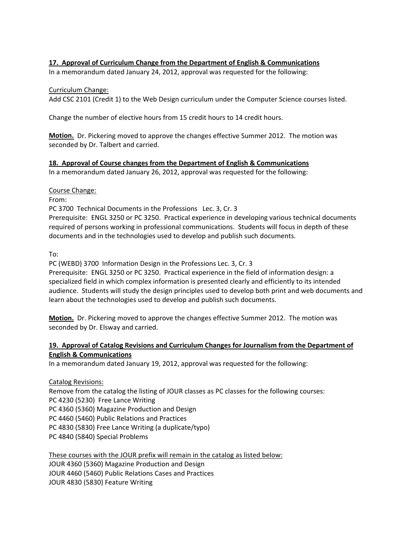#### **17. Approval of Curriculum Change from the Department of English & Communications**

In a memorandum dated January 24, 2012, approval was requested for the following:

#### Curriculum Change:

Add CSC 2101 (Credit 1) to the Web Design curriculum under the Computer Science courses listed.

Change the number of elective hours from 15 credit hours to 14 credit hours.

**Motion.** Dr. Pickering moved to approve the changes effective Summer 2012. The motion was seconded by Dr. Talbert and carried.

#### **18. Approval of Course changes from the Department of English & Communications**

In a memorandum dated January 26, 2012, approval was requested for the following:

#### Course Change:

From:

PC 3700 Technical Documents in the Professions Lec. 3, Cr. 3

Prerequisite: ENGL 3250 or PC 3250. Practical experience in developing various technical documents required of persons working in professional communications. Students will focus in depth of these documents and in the technologies used to develop and publish such documents.

To:

PC (WEBD) 3700 Information Design in the Professions Lec. 3, Cr. 3

Prerequisite: ENGL 3250 or PC 3250. Practical experience in the field of information design: a specialized field in which complex information is presented clearly and efficiently to its intended audience. Students will study the design principles used to develop both print and web documents and learn about the technologies used to develop and publish such documents.

**Motion.** Dr. Pickering moved to approve the changes effective Summer 2012. The motion was seconded by Dr. Elsway and carried.

#### **19. Approval of Catalog Revisions and Curriculum Changes for Journalism from the Department of English & Communications**

In a memorandum dated January 19, 2012, approval was requested for the following:

Catalog Revisions:

Remove from the catalog the listing of JOUR classes as PC classes for the following courses: PC 4230 (5230) Free Lance Writing PC 4360 (5360) Magazine Production and Design PC 4460 (5460) Public Relations and Practices PC 4830 (5830) Free Lance Writing (a duplicate/typo) PC 4840 (5840) Special Problems

#### These courses with the JOUR prefix will remain in the catalog as listed below:

JOUR 4360 (5360) Magazine Production and Design JOUR 4460 (5460) Public Relations Cases and Practices JOUR 4830 (5830) Feature Writing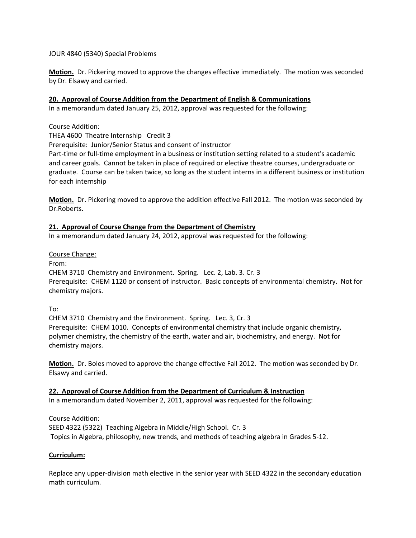JOUR 4840 (5340) Special Problems

**Motion.** Dr. Pickering moved to approve the changes effective immediately. The motion was seconded by Dr. Elsawy and carried.

#### **20. Approval of Course Addition from the Department of English & Communications**

In a memorandum dated January 25, 2012, approval was requested for the following:

#### Course Addition:

THEA 4600 Theatre Internship Credit 3

Prerequisite: Junior/Senior Status and consent of instructor

Part-time or full-time employment in a business or institution setting related to a student's academic and career goals. Cannot be taken in place of required or elective theatre courses, undergraduate or graduate. Course can be taken twice, so long as the student interns in a different business or institution for each internship

**Motion.** Dr. Pickering moved to approve the addition effective Fall 2012. The motion was seconded by Dr.Roberts.

#### **21. Approval of Course Change from the Department of Chemistry**

In a memorandum dated January 24, 2012, approval was requested for the following:

#### Course Change:

From:

CHEM 3710 Chemistry and Environment. Spring. Lec. 2, Lab. 3. Cr. 3 Prerequisite: CHEM 1120 or consent of instructor. Basic concepts of environmental chemistry. Not for chemistry majors.

To:

CHEM 3710 Chemistry and the Environment. Spring. Lec. 3, Cr. 3 Prerequisite: CHEM 1010. Concepts of environmental chemistry that include organic chemistry, polymer chemistry, the chemistry of the earth, water and air, biochemistry, and energy. Not for chemistry majors.

**Motion.** Dr. Boles moved to approve the change effective Fall 2012. The motion was seconded by Dr. Elsawy and carried.

#### **22. Approval of Course Addition from the Department of Curriculum & Instruction**

In a memorandum dated November 2, 2011, approval was requested for the following:

#### Course Addition:

SEED 4322 (5322) Teaching Algebra in Middle/High School. Cr. 3 Topics in Algebra, philosophy, new trends, and methods of teaching algebra in Grades 5‐12.

#### **Curriculum:**

Replace any upper‐division math elective in the senior year with SEED 4322 in the secondary education math curriculum.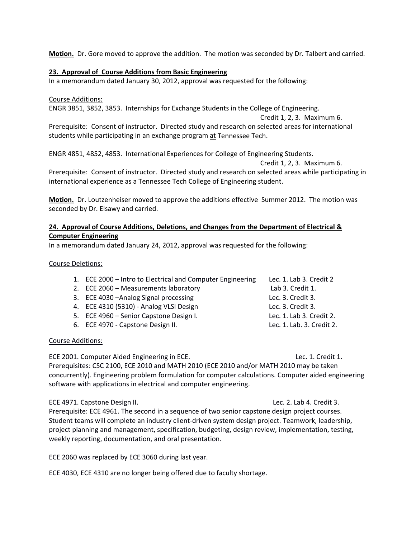**Motion.** Dr. Gore moved to approve the addition. The motion was seconded by Dr. Talbert and carried.

#### **23. Approval of Course Additions from Basic Engineering**

In a memorandum dated January 30, 2012, approval was requested for the following:

#### Course Additions:

ENGR 3851, 3852, 3853. Internships for Exchange Students in the College of Engineering.

Credit 1, 2, 3. Maximum 6.

Prerequisite: Consent of instructor. Directed study and research on selected areas for international students while participating in an exchange program at Tennessee Tech.

ENGR 4851, 4852, 4853. International Experiences for College of Engineering Students.

Credit 1, 2, 3. Maximum 6.

Prerequisite: Consent of instructor. Directed study and research on selected areas while participating in international experience as a Tennessee Tech College of Engineering student.

**Motion.** Dr. Loutzenheiser moved to approve the additions effective Summer 2012. The motion was seconded by Dr. Elsawy and carried.

#### **24. Approval of Course Additions, Deletions, and Changes from the Department of Electrical & Computer Engineering**

In a memorandum dated January 24, 2012, approval was requested for the following:

#### Course Deletions:

- 1. ECE 2000 Intro to Electrical and Computer Engineering Lec. 1. Lab 3. Credit 2
- 2. ECE 2060 Measurements laboratory Lab 3. Credit 1.
- 3. ECE 4030 –Analog Signal processing Lec. 3. Credit 3.
- 4. ECE 4310 (5310) ‐ Analog VLSI Design Lec. 3. Credit 3.
- 5. ECE 4960 Senior Capstone Design I. Lec. 1. Lab 3. Credit 2.
- 6. ECE 4970 ‐ Capstone Design II. Lec. 1. Lab. 3. Credit 2.

#### Course Additions:

ECE 2001. Computer Aided Engineering in ECE. The contract of the contract of the Lec. 1. Credit 1. Prerequisites: CSC 2100, ECE 2010 and MATH 2010 (ECE 2010 and/or MATH 2010 may be taken concurrently). Engineering problem formulation for computer calculations. Computer aided engineering software with applications in electrical and computer engineering.

ECE 4971. Capstone Design II. The contract of the capacity of the capacity of the capacity of the capacity of the capacity of the capacity of the capacity of the capacity of the capacity of the capacity of the capacity of Prerequisite: ECE 4961. The second in a sequence of two senior capstone design project courses. Student teams will complete an industry client‐driven system design project. Teamwork, leadership, project planning and management, specification, budgeting, design review, implementation, testing, weekly reporting, documentation, and oral presentation.

ECE 2060 was replaced by ECE 3060 during last year.

ECE 4030, ECE 4310 are no longer being offered due to faculty shortage.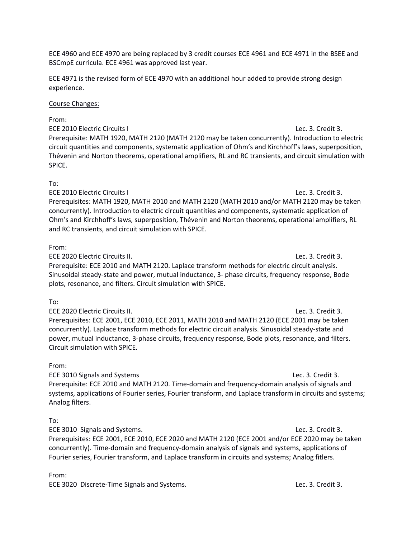ECE 4960 and ECE 4970 are being replaced by 3 credit courses ECE 4961 and ECE 4971 in the BSEE and BSCmpE curricula. ECE 4961 was approved last year.

ECE 4971 is the revised form of ECE 4970 with an additional hour added to provide strong design experience.

#### Course Changes:

From: ECE 2010 Electric Circuits I Lec. 3. Credit 3. Prerequisite: MATH 1920, MATH 2120 (MATH 2120 may be taken concurrently). Introduction to electric circuit quantities and components, systematic application of Ohm's and Kirchhoff's laws, superposition, Thévenin and Norton theorems, operational amplifiers, RL and RC transients, and circuit simulation with SPICE.

#### To:

ECE 2010 Electric Circuits I Lec. 3. Credit 3. Prerequisites: MATH 1920, MATH 2010 and MATH 2120 (MATH 2010 and/or MATH 2120 may be taken concurrently). Introduction to electric circuit quantities and components, systematic application of Ohm's and Kirchhoff's laws, superposition, Thévenin and Norton theorems, operational amplifiers, RL and RC transients, and circuit simulation with SPICE.

#### From:

ECE 2020 Electric Circuits II. Lec. 3. Credit 3. Prerequisite: ECE 2010 and MATH 2120. Laplace transform methods for electric circuit analysis. Sinusoidal steady‐state and power, mutual inductance, 3‐ phase circuits, frequency response, Bode plots, resonance, and filters. Circuit simulation with SPICE.

#### To:

ECE 2020 Electric Circuits II. Lec. 3. Credit 3. Prerequisites: ECE 2001, ECE 2010, ECE 2011, MATH 2010 and MATH 2120 (ECE 2001 may be taken concurrently). Laplace transform methods for electric circuit analysis. Sinusoidal steady‐state and power, mutual inductance, 3‐phase circuits, frequency response, Bode plots, resonance, and filters. Circuit simulation with SPICE.

#### From:

ECE 3010 Signals and Systems Lec. 3. Credit 3. Prerequisite: ECE 2010 and MATH 2120. Time‐domain and frequency‐domain analysis of signals and systems, applications of Fourier series, Fourier transform, and Laplace transform in circuits and systems; Analog filters.

#### To:

ECE 3010 Signals and Systems. Lec. 3. Credit 3. Prerequisites: ECE 2001, ECE 2010, ECE 2020 and MATH 2120 (ECE 2001 and/or ECE 2020 may be taken concurrently). Time‐domain and frequency‐domain analysis of signals and systems, applications of Fourier series, Fourier transform, and Laplace transform in circuits and systems; Analog fitlers.

From:

ECE 3020 Discrete-Time Signals and Systems. Lec. 3. Credit 3.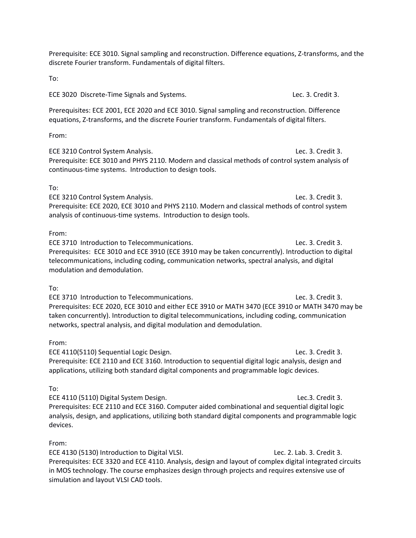Prerequisite: ECE 3010. Signal sampling and reconstruction. Difference equations, Z‐transforms, and the discrete Fourier transform. Fundamentals of digital filters.

To:

ECE 3020 Discrete-Time Signals and Systems. Lec. 3. Credit 3.

Prerequisites: ECE 2001, ECE 2020 and ECE 3010. Signal sampling and reconstruction. Difference equations, Z‐transforms, and the discrete Fourier transform. Fundamentals of digital filters.

From:

ECE 3210 Control System Analysis. Lec. 3. Credit 3. Prerequisite: ECE 3010 and PHYS 2110. Modern and classical methods of control system analysis of continuous‐time systems. Introduction to design tools.

#### To:

ECE 3210 Control System Analysis. Lec. 3. Credit 3. Prerequisite: ECE 2020, ECE 3010 and PHYS 2110. Modern and classical methods of control system analysis of continuous‐time systems. Introduction to design tools.

#### From:

ECE 3710 Introduction to Telecommunications. Lec. 3. Credit 3. Prerequisites: ECE 3010 and ECE 3910 (ECE 3910 may be taken concurrently). Introduction to digital telecommunications, including coding, communication networks, spectral analysis, and digital modulation and demodulation.

To:

ECE 3710 Introduction to Telecommunications. Lec. 3. Credit 3. Prerequisites: ECE 2020, ECE 3010 and either ECE 3910 or MATH 3470 (ECE 3910 or MATH 3470 may be taken concurrently). Introduction to digital telecommunications, including coding, communication networks, spectral analysis, and digital modulation and demodulation.

#### From:

ECE 4110(5110) Sequential Logic Design. Lec. 3. Credit 3. Prerequisite: ECE 2110 and ECE 3160. Introduction to sequential digital logic analysis, design and applications, utilizing both standard digital components and programmable logic devices.

To:

ECE 4110 (5110) Digital System Design. Lec.3. Credit 3. Prerequisites: ECE 2110 and ECE 3160. Computer aided combinational and sequential digital logic analysis, design, and applications, utilizing both standard digital components and programmable logic devices.

#### From:

ECE 4130 (5130) Introduction to Digital VLSI. Lec. 2. Lab. 3. Credit 3. Prerequisites: ECE 3320 and ECE 4110. Analysis, design and layout of complex digital integrated circuits in MOS technology. The course emphasizes design through projects and requires extensive use of simulation and layout VLSI CAD tools.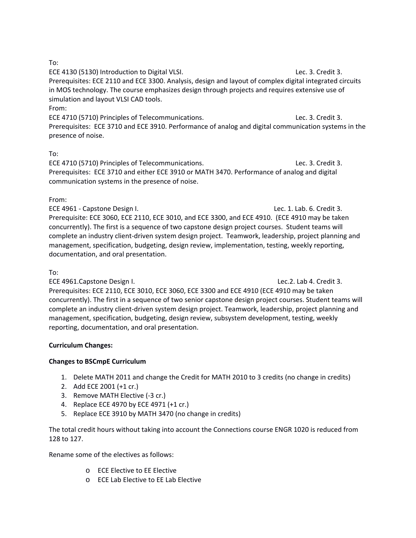To:

ECE 4130 (5130) Introduction to Digital VLSI. Lec. 3. Credit 3. Prerequisites: ECE 2110 and ECE 3300. Analysis, design and layout of complex digital integrated circuits in MOS technology. The course emphasizes design through projects and requires extensive use of simulation and layout VLSI CAD tools. From:

ECE 4710 (5710) Principles of Telecommunications. Lec. 3. Credit 3. Prerequisites: ECE 3710 and ECE 3910. Performance of analog and digital communication systems in the presence of noise.

#### To:

ECE 4710 (5710) Principles of Telecommunications. Lec. 3. Credit 3. Prerequisites: ECE 3710 and either ECE 3910 or MATH 3470. Performance of analog and digital communication systems in the presence of noise.

#### From:

ECE 4961 - Capstone Design I. Lec. 1. Lab. 6. Credit 3. Prerequisite: ECE 3060, ECE 2110, ECE 3010, and ECE 3300, and ECE 4910. (ECE 4910 may be taken concurrently). The first is a sequence of two capstone design project courses. Student teams will complete an industry client‐driven system design project. Teamwork, leadership, project planning and management, specification, budgeting, design review, implementation, testing, weekly reporting, documentation, and oral presentation.

#### To:

ECE 4961.Capstone Design I. Lec.2. Lab 4. Credit 3. Prerequisites: ECE 2110, ECE 3010, ECE 3060, ECE 3300 and ECE 4910 (ECE 4910 may be taken concurrently). The first in a sequence of two senior capstone design project courses. Student teams will complete an industry client‐driven system design project. Teamwork, leadership, project planning and management, specification, budgeting, design review, subsystem development, testing, weekly reporting, documentation, and oral presentation.

#### **Curriculum Changes:**

#### **Changes to BSCmpE Curriculum**

- 1. Delete MATH 2011 and change the Credit for MATH 2010 to 3 credits (no change in credits)
- 2. Add ECE 2001 (+1 cr.)
- 3. Remove MATH Elective (‐3 cr.)
- 4. Replace ECE 4970 by ECE 4971 (+1 cr.)
- 5. Replace ECE 3910 by MATH 3470 (no change in credits)

The total credit hours without taking into account the Connections course ENGR 1020 is reduced from 128 to 127.

Rename some of the electives as follows:

- o ECE Elective to EE Elective
- o ECE Lab Elective to EE Lab Elective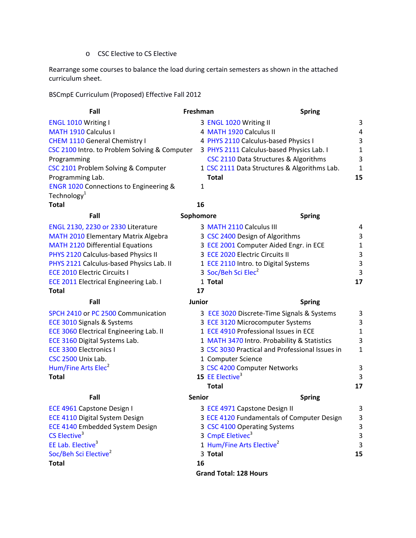o CSC Elective to CS Elective

Rearrange some courses to balance the load during certain semesters as shown in the attached curriculum sheet.

BSCmpE Curriculum (Proposed) Effective Fall 2012

| Fall                                              | Freshman      | <b>Spring</b>                                   |                |
|---------------------------------------------------|---------------|-------------------------------------------------|----------------|
| <b>ENGL 1010 Writing I</b>                        |               | 3 ENGL 1020 Writing II                          | 3              |
| <b>MATH 1910 Calculus I</b>                       |               | 4 MATH 1920 Calculus II                         | $\overline{4}$ |
| <b>CHEM 1110 General Chemistry I</b>              |               | 4 PHYS 2110 Calculus-based Physics I            | 3              |
| CSC 2100 Intro. to Problem Solving & Computer     |               | 3 PHYS 2111 Calculus-based Physics Lab. I       | $\mathbf{1}$   |
| Programming                                       |               | CSC 2110 Data Structures & Algorithms           | 3              |
| CSC 2101 Problem Solving & Computer               |               | 1 CSC 2111 Data Structures & Algorithms Lab.    | 1              |
| Programming Lab.                                  |               | <b>Total</b>                                    | 15             |
| <b>ENGR 1020 Connections to Engineering &amp;</b> | 1             |                                                 |                |
| Technology <sup>1</sup>                           |               |                                                 |                |
| <b>Total</b>                                      | 16            |                                                 |                |
| Fall                                              | Sophomore     | <b>Spring</b>                                   |                |
| ENGL 2130, 2230 or 2330 Literature                |               | 3 MATH 2110 Calculus III                        | 4              |
| <b>MATH 2010 Elementary Matrix Algebra</b>        |               | 3 CSC 2400 Design of Algorithms                 | 3              |
| <b>MATH 2120 Differential Equations</b>           |               | 3 ECE 2001 Computer Aided Engr. in ECE          | $\mathbf{1}$   |
| PHYS 2120 Calculus-based Physics II               |               | 3 ECE 2020 Electric Circuits II                 | 3              |
| PHYS 2121 Calculus-based Physics Lab. II          |               | 1 ECE 2110 Intro. to Digital Systems            | 3              |
| <b>ECE 2010 Electric Circuits I</b>               |               | 3 Soc/Beh Sci Elec <sup>2</sup>                 | 3              |
| <b>ECE 2011 Electrical Engineering Lab. I</b>     |               | 1 Total                                         | 17             |
| <b>Total</b>                                      | 17            |                                                 |                |
| Fall                                              | Junior        | <b>Spring</b>                                   |                |
| SPCH 2410 or PC 2500 Communication                |               | 3 ECE 3020 Discrete-Time Signals & Systems      | 3              |
| ECE 3010 Signals & Systems                        |               | 3 ECE 3120 Microcomputer Systems                | 3              |
| <b>ECE 3060 Electrical Engineering Lab. II</b>    |               | 1 ECE 4910 Professional Issues in ECE           | 1              |
| ECE 3160 Digital Systems Lab.                     |               | 1 MATH 3470 Intro. Probability & Statistics     | 3              |
| <b>ECE 3300 Electronics I</b>                     |               | 3 CSC 3030 Practical and Professional Issues in | $\mathbf{1}$   |
| CSC 2500 Unix Lab.                                |               | 1 Computer Science                              |                |
| Hum/Fine Arts Elec <sup>2</sup>                   |               | 3 CSC 4200 Computer Networks                    | 3              |
| <b>Total</b>                                      |               | 15 EE Elective <sup>3</sup>                     | 3              |
|                                                   |               | Total                                           | 17             |
| Fall                                              | <b>Senior</b> | <b>Spring</b>                                   |                |
| ECE 4961 Capstone Design I                        |               | 3 ECE 4971 Capstone Design II                   | 3              |

ECE 4110 Digital System Design 3 ECE 4120 Fundamentals of Cor<br>ECE 4140 Embedded System Design 3 CSC 4100 Operating Systems ECE 4140 Embedded System Design CS Elective<sup>3</sup> EE Lab. Elective<sup>3</sup> Soc/Beh Sci Elective<sup>2</sup> 3 Total **Total 16**

**Grand Total: 128 Hours**

ECE 4120 Fundamentals of Computer Design 3 CSC 4100 Operating Systems 3 3 CmpE Eletivec<sup>3</sup> 3 1 Hum/Fine Arts Elective<sup>2</sup> 3 **Total 15**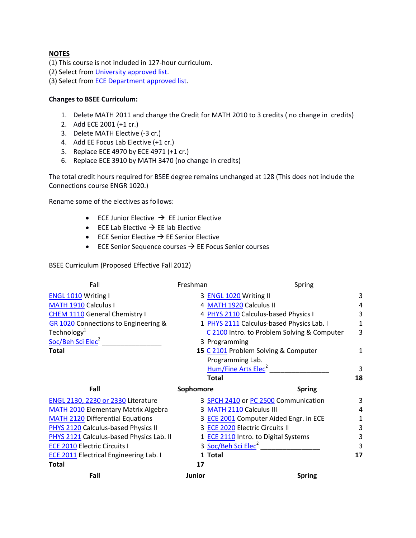#### **NOTES**

(1) This course is not included in 127‐hour curriculum.

(2) Select from University approved list.

(3) Select from ECE Department approved list.

#### **Changes to BSEE Curriculum:**

- 1. Delete MATH 2011 and change the Credit for MATH 2010 to 3 credits ( no change in credits)
- 2. Add ECE 2001 (+1 cr.)
- 3. Delete MATH Elective (‐3 cr.)
- 4. Add EE Focus Lab Elective (+1 cr.)
- 5. Replace ECE 4970 by ECE 4971 (+1 cr.)
- 6. Replace ECE 3910 by MATH 3470 (no change in credits)

The total credit hours required for BSEE degree remains unchanged at 128 (This does not include the Connections course ENGR 1020.)

Rename some of the electives as follows:

- ECE Junior Elective  $\rightarrow$  EE Junior Elective
- ECE Lab Elective  $\rightarrow$  EE lab Elective
- ECE Senior Elective  $\rightarrow$  EE Senior Elective
- ECE Senior Sequence courses  $\rightarrow$  EE Focus Senior courses

BSEE Curriculum (Proposed Effective Fall 2012)

| Fall                                          | Freshman      | Spring                                      |    |
|-----------------------------------------------|---------------|---------------------------------------------|----|
| <b>ENGL 1010 Writing I</b>                    |               | 3 ENGL 1020 Writing II                      | 3  |
| MATH 1910 Calculus I                          |               | 4 MATH 1920 Calculus II                     | 4  |
| <b>CHEM 1110</b> General Chemistry I          |               | 4 PHYS 2110 Calculus-based Physics I        | 3  |
| GR 1020 Connections to Engineering &          |               | 1 PHYS 2111 Calculus-based Physics Lab. I   | 1  |
| Technology $^{1}$                             |               | C 2100 Intro. to Problem Solving & Computer | 3  |
| Soc/Beh Sci Elec <sup>2</sup>                 |               | 3 Programming                               |    |
| <b>Total</b>                                  |               | 15 C 2101 Problem Solving & Computer        | 1  |
|                                               |               | Programming Lab.                            |    |
|                                               |               | Hum/Fine Arts Elec <sup>2</sup>             | 3  |
|                                               |               | <b>Total</b>                                | 18 |
| Fall                                          | Sophomore     | <b>Spring</b>                               |    |
| <b>ENGL 2130, 2230 or 2330 Literature</b>     |               | 3 SPCH 2410 or PC 2500 Communication        | 3  |
| <b>MATH 2010 Elementary Matrix Algebra</b>    |               | 3 MATH 2110 Calculus III                    | 4  |
| <b>MATH 2120 Differential Equations</b>       |               | 3 ECE 2001 Computer Aided Engr. in ECE      | 1  |
| PHYS 2120 Calculus-based Physics II           |               | 3 ECE 2020 Electric Circuits II             | 3  |
| PHYS 2121 Calculus-based Physics Lab. II      |               | 1 ECE 2110 Intro. to Digital Systems        | 3  |
| <b>ECE 2010 Electric Circuits I</b>           |               | 3 Soc/Beh Sci Elec <sup>2</sup>             | 3  |
| <b>ECE 2011 Electrical Engineering Lab. I</b> |               | 1 Total                                     | 17 |
| <b>Total</b>                                  | 17            |                                             |    |
| Fall                                          | <b>Junior</b> | <b>Spring</b>                               |    |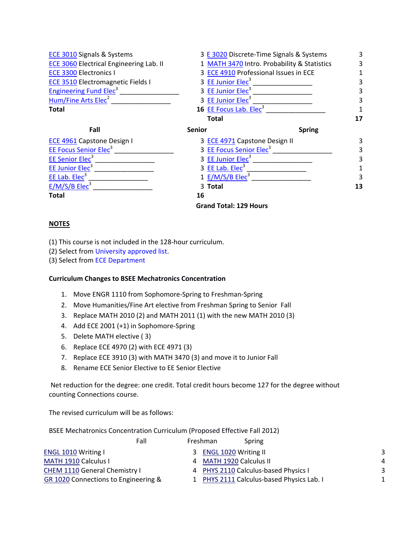| <b>ECE 3010 Signals &amp; Systems</b>    |                                       | 3 E 3020 Discrete-Time Signals & Systems    |    |
|------------------------------------------|---------------------------------------|---------------------------------------------|----|
| ECE 3060 Electrical Engineering Lab. II  |                                       | 1 MATH 3470 Intro. Probability & Statistics |    |
| <b>ECE 3300 Electronics I</b>            | 3 ECE 4910 Professional Issues in ECE |                                             |    |
| <b>ECE 3510 Electromagnetic Fields I</b> | 3 EE Junior Elec <sup>3</sup>         |                                             |    |
| <b>Engineering Fund Elec<sup>3</sup></b> | 3 EE Junior Elec <sup>3</sup>         |                                             |    |
| Hum/Fine Arts Elec <sup>2</sup>          | 3 EE Junior Elec <sup>3</sup>         |                                             | 3  |
| <b>Total</b>                             | 16 EE Focus Lab. Elec <sup>3</sup>    |                                             |    |
|                                          | <b>Total</b>                          |                                             | 17 |
| Fall                                     | <b>Senior</b>                         | <b>Spring</b>                               |    |
| <b>ECE 4961 Capstone Design I</b>        | 3 <b>ECE 4971</b> Capstone Design II  |                                             | 3  |
| <b>EE Focus Senior Elec<sup>3</sup></b>  | 3 EE Focus Senior Elec <sup>3</sup>   |                                             | 3  |
| EE Senior Elec <sup>3</sup>              | 3 EE Junior Elec <sup>3</sup>         |                                             |    |
| EE Junior Elec <sup>3</sup>              | 3 EE Lab. Elec <sup>3</sup>           |                                             |    |
| EE Lab. $Elec3$                          | 1 E/M/S/B Elec <sup>3</sup>           |                                             |    |
| E/M/S/B Elec <sup>3</sup>                | 3 Total                               |                                             | 13 |
| Total                                    | 16                                    |                                             |    |
|                                          | <b>Grand Total: 129 Hours</b>         |                                             |    |

#### **NOTES**

(1) This course is not included in the 128‐hour curriculum.

(2) Select from University approved list.

(3) Select from ECE Department

#### **Curriculum Changes to BSEE Mechatronics Concentration**

- 1. Move ENGR 1110 from Sophomore‐Spring to Freshman‐Spring
- 2. Move Humanities/Fine Art elective from Freshman Spring to Senior Fall
- 3. Replace MATH 2010 (2) and MATH 2011 (1) with the new MATH 2010 (3)
- 4. Add ECE 2001 (+1) in Sophomore‐Spring
- 5. Delete MATH elective ( 3)
- 6. Replace ECE 4970 (2) with ECE 4971 (3)
- 7. Replace ECE 3910 (3) with MATH 3470 (3) and move it to Junior Fall
- 8. Rename ECE Senior Elective to EE Senior Elective

Net reduction for the degree: one credit. Total credit hours become 127 for the degree without counting Connections course.

The revised curriculum will be as follows:

BSEE Mechatronics Concentration Curriculum (Proposed Effective Fall 2012)

| Fall                                 | Freshman | Spring                                    |   |
|--------------------------------------|----------|-------------------------------------------|---|
| <b>ENGL 1010 Writing I</b>           | 3.       | <b>ENGL 1020 Writing II</b>               | 3 |
| MATH 1910 Calculus I                 |          | 4 MATH 1920 Calculus II                   | 4 |
| CHEM 1110 General Chemistry I        |          | 4 PHYS 2110 Calculus-based Physics I      | 3 |
| GR 1020 Connections to Engineering & |          | 1 PHYS 2111 Calculus-based Physics Lab. I |   |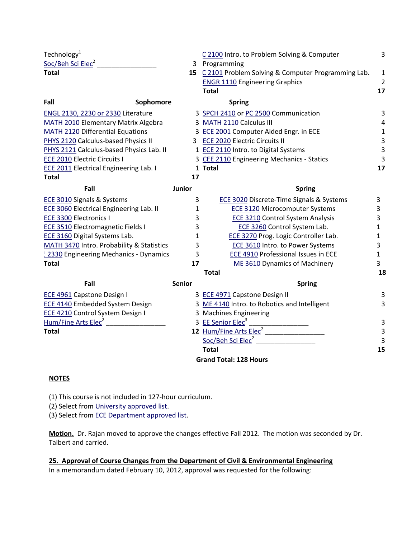| Technology <sup>1</sup>                        |               | C 2100 Intro. to Problem Solving & Computer           | 3                       |
|------------------------------------------------|---------------|-------------------------------------------------------|-------------------------|
| Soc/Beh Sci Elec <sup>2</sup>                  |               | 3 Programming                                         |                         |
| <b>Total</b>                                   |               | 15 C 2101 Problem Solving & Computer Programming Lab. | $\mathbf 1$             |
|                                                |               | <b>ENGR 1110 Engineering Graphics</b>                 | $\overline{2}$          |
|                                                |               | <b>Total</b>                                          | 17                      |
| Fall<br>Sophomore                              |               | <b>Spring</b>                                         |                         |
| <b>ENGL 2130, 2230 or 2330 Literature</b>      |               | 3 SPCH 2410 or PC 2500 Communication                  | 3                       |
| <b>MATH 2010 Elementary Matrix Algebra</b>     |               | 3 MATH 2110 Calculus III                              | $\overline{4}$          |
| <b>MATH 2120 Differential Equations</b>        |               | 3 ECE 2001 Computer Aided Engr. in ECE                | $\mathbf 1$             |
| PHYS 2120 Calculus-based Physics II            |               | 3 ECE 2020 Electric Circuits II                       | $\overline{\mathbf{3}}$ |
| PHYS 2121 Calculus-based Physics Lab. II       |               | 1 ECE 2110 Intro. to Digital Systems                  | 3                       |
| <b>ECE 2010 Electric Circuits I</b>            |               | 3 CEE 2110 Engineering Mechanics - Statics            | 3                       |
| <b>ECE 2011 Electrical Engineering Lab. I</b>  |               | 1 Total                                               | 17                      |
| <b>Total</b>                                   | 17            |                                                       |                         |
| Fall                                           | Junior        | <b>Spring</b>                                         |                         |
| <b>ECE 3010 Signals &amp; Systems</b>          | 3             | <b>ECE 3020 Discrete-Time Signals &amp; Systems</b>   | 3                       |
| <b>ECE 3060 Electrical Engineering Lab. II</b> | 1             | <b>ECE 3120 Microcomputer Systems</b>                 | 3                       |
| <b>ECE 3300 Electronics I</b>                  | 3             | <b>ECE 3210 Control System Analysis</b>               | 3                       |
| ECE 3510 Electromagnetic Fields I              | 3             | ECE 3260 Control System Lab.                          | 1                       |
| <b>ECE 3160 Digital Systems Lab.</b>           | 1             | ECE 3270 Prog. Logic Controller Lab.                  | $\mathbf{1}$            |
| MATH 3470 Intro. Probability & Statistics      | 3             | <b>ECE 3610 Intro. to Power Systems</b>               | 3                       |
| : 2330 Engineering Mechanics - Dynamics        | 3             | ECE 4910 Professional Issues in ECE                   | $\mathbf{1}$            |
| <b>Total</b>                                   | 17            | ME 3610 Dynamics of Machinery                         | $\overline{3}$          |
|                                                |               | <b>Total</b>                                          | 18                      |
| Fall                                           | <b>Senior</b> | <b>Spring</b>                                         |                         |
| <b>ECE 4961 Capstone Design I</b>              |               | 3 ECE 4971 Capstone Design II                         | 3                       |
| <b>ECE 4140 Embedded System Design</b>         |               | 3 ME 4140 Intro. to Robotics and Intelligent          | 3                       |
| ECE 4210 Control System Design I               |               | 3 Machines Engineering                                |                         |
| Hum/Fine Arts Elec <sup>2</sup>                |               | 3 EE Senior Elec <sup>3</sup>                         | 3                       |
| <b>Total</b>                                   |               | 12 Hum/Fine Arts Elec <sup>2</sup>                    | 3                       |
|                                                |               | Soc/Beh Sci Elec <sup>2</sup>                         | $\overline{\mathbf{3}}$ |
|                                                |               | <b>Total</b>                                          | 15                      |
|                                                |               | <b>Grand Total: 128 Hours</b>                         |                         |

#### **NOTES**

(1) This course is not included in 127‐hour curriculum.

(2) Select from University approved list.

(3) Select from ECE Department approved list.

**Motion.** Dr. Rajan moved to approve the changes effective Fall 2012. The motion was seconded by Dr. Talbert and carried.

**25. Approval of Course Changes from the Department of Civil & Environmental Engineering** In a memorandum dated February 10, 2012, approval was requested for the following: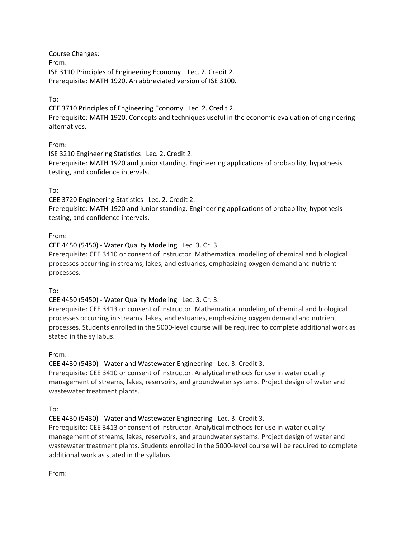Course Changes: From: ISE 3110 Principles of Engineering Economy Lec. 2. Credit 2. Prerequisite: MATH 1920. An abbreviated version of ISE 3100.

#### To:

CEE 3710 Principles of Engineering Economy Lec. 2. Credit 2. Prerequisite: MATH 1920. Concepts and techniques useful in the economic evaluation of engineering alternatives.

#### From:

ISE 3210 Engineering Statistics Lec. 2. Credit 2. Prerequisite: MATH 1920 and junior standing. Engineering applications of probability, hypothesis testing, and confidence intervals.

#### To:

CEE 3720 Engineering Statistics Lec. 2. Credit 2.

Prerequisite: MATH 1920 and junior standing. Engineering applications of probability, hypothesis testing, and confidence intervals.

#### From:

CEE 4450 (5450) ‐ Water Quality Modeling Lec. 3. Cr. 3.

Prerequisite: CEE 3410 or consent of instructor. Mathematical modeling of chemical and biological processes occurring in streams, lakes, and estuaries, emphasizing oxygen demand and nutrient processes.

To:

#### CEE 4450 (5450) ‐ Water Quality Modeling Lec. 3. Cr. 3.

Prerequisite: CEE 3413 or consent of instructor. Mathematical modeling of chemical and biological processes occurring in streams, lakes, and estuaries, emphasizing oxygen demand and nutrient processes. Students enrolled in the 5000‐level course will be required to complete additional work as stated in the syllabus.

#### From:

CEE 4430 (5430) ‐ Water and Wastewater EngineeringLec. 3. Credit 3.

Prerequisite: CEE 3410 or consent of instructor. Analytical methods for use in water quality management of streams, lakes, reservoirs, and groundwater systems. Project design of water and wastewater treatment plants.

To:

CEE 4430 (5430) ‐ Water and Wastewater Engineering Lec. 3. Credit 3.

Prerequisite: CEE 3413 or consent of instructor. Analytical methods for use in water quality management of streams, lakes, reservoirs, and groundwater systems. Project design of water and wastewater treatment plants. Students enrolled in the 5000‐level course will be required to complete additional work as stated in the syllabus.

From: